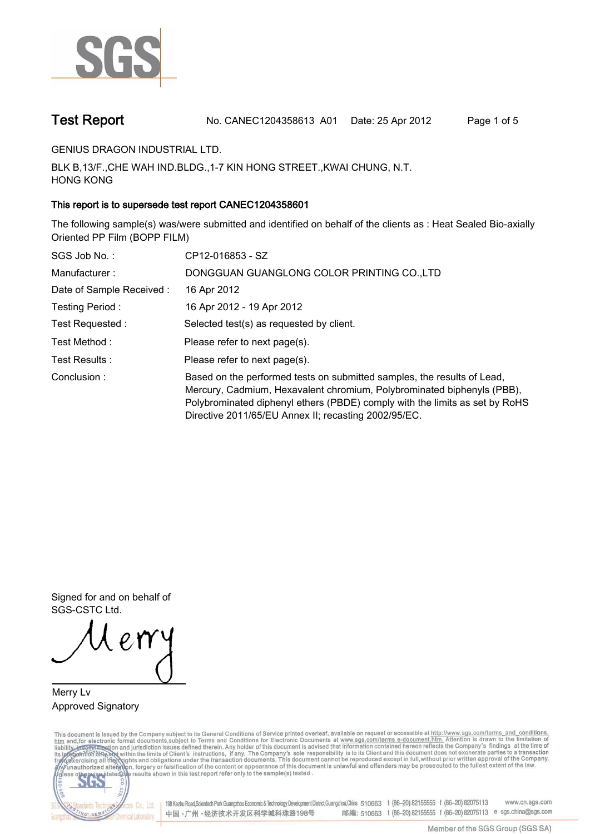

**Test Report. No. CANEC1204358613 A01 Date: 25 Apr 2012. Page 1 of 5.**

**GENIUS DRAGON INDUSTRIAL LTD..**

**BLK B,13/F.,CHE WAH IND.BLDG.,1-7 KIN HONG STREET.,KWAI CHUNG, N.T. HONG KONG.**

## **This report is to supersede test report CANEC1204358601.**

**The following sample(s) was/were submitted and identified on behalf of the clients as : Heat Sealed Bio-axially Oriented PP Film (BOPP FILM).**

| SGS Job No.:             | CP12-016853 - SZ                                                                                                                                                                                                                                                                         |
|--------------------------|------------------------------------------------------------------------------------------------------------------------------------------------------------------------------------------------------------------------------------------------------------------------------------------|
| Manufacturer:            | DONGGUAN GUANGLONG COLOR PRINTING CO., LTD                                                                                                                                                                                                                                               |
| Date of Sample Received: | 16 Apr 2012                                                                                                                                                                                                                                                                              |
| Testing Period:          | 16 Apr 2012 - 19 Apr 2012                                                                                                                                                                                                                                                                |
| Test Requested:          | Selected test(s) as requested by client.                                                                                                                                                                                                                                                 |
| Test Method :            | Please refer to next page(s).                                                                                                                                                                                                                                                            |
| Test Results :           | Please refer to next page(s).                                                                                                                                                                                                                                                            |
| Conclusion:              | Based on the performed tests on submitted samples, the results of Lead,<br>Mercury, Cadmium, Hexavalent chromium, Polybrominated biphenyls (PBB),<br>Polybrominated diphenyl ethers (PBDE) comply with the limits as set by RoHS<br>Directive 2011/65/EU Annex II; recasting 2002/95/EC. |

**Signed for and on behalf of SGS-CSTC Ltd..**

**Merry Lv. Approved Signatory.**

This document is issued by the Company subject to its General Conditions of Service printed overleaf, available on request or accessible at http://www.sgs.com/terms\_and\_conditions.<br>htm\_and, for electronic format documents,



198 Kezhu Road,Scientech Park Guangzhou Economic & Technology Development District,Guangzhou,China 510663 t (86-20) 82155555 f (86-20) 82075113 www.cn.sgs.com 邮编: 510663 t (86-20) 82155555 f (86-20) 82075113 e sgs.china@sgs.com 中国·广州·经济技术开发区科学城科珠路198号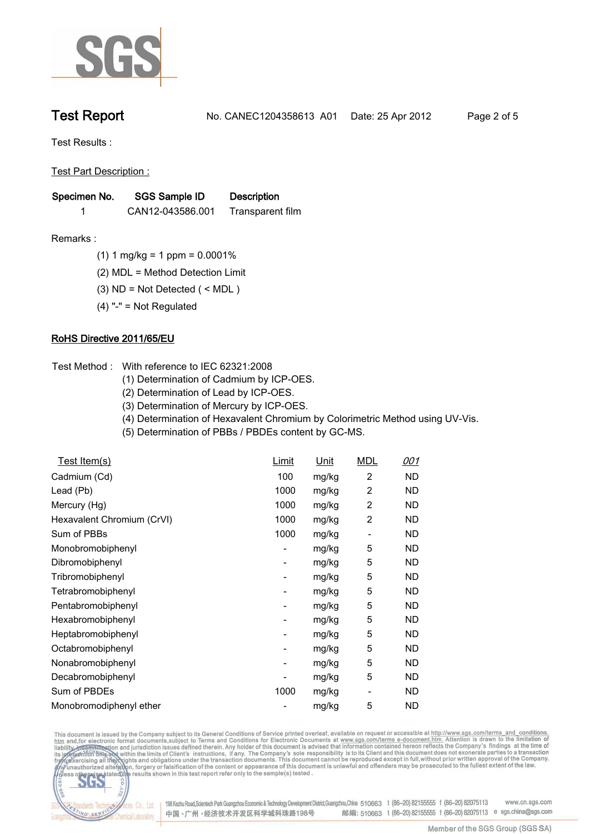

**Test Report. No. CANEC1204358613 A01 Date: 25 Apr 2012. Page 2 of 5.**

**Test Results :.**

**Test Part Description :.**

| Specimen No. | SGS Sample ID    | <b>Description</b> |  |
|--------------|------------------|--------------------|--|
|              | CAN12-043586.001 | Transparent film   |  |

- **Remarks :.(1) 1 mg/kg = 1 ppm = 0.0001%.**
	- **(2) MDL = Method Detection Limit.**
	- **(3) ND = Not Detected ( < MDL ).**
	- **(4) "-" = Not Regulated.**

## **RoHS Directive 2011/65/EU.**

- **Test Method :. With reference to IEC 62321:2008**
	- **(1) Determination of Cadmium by ICP-OES.**
	- **(2) Determination of Lead by ICP-OES.**
	- **(3) Determination of Mercury by ICP-OES.**
	- **(4) Determination of Hexavalent Chromium by Colorimetric Method using UV-Vis.**
	- **(5) Determination of PBBs / PBDEs content by GC-MS..**

| <u>Test Item(s)</u>        | <u>Limit</u>             | <u>Unit</u> | <b>MDL</b> | <u>001</u> |
|----------------------------|--------------------------|-------------|------------|------------|
| Cadmium (Cd)               | 100                      | mg/kg       | 2          | ND.        |
| Lead (Pb)                  | 1000                     | mg/kg       | 2          | ND         |
| Mercury (Hg)               | 1000                     | mg/kg       | 2          | ND         |
| Hexavalent Chromium (CrVI) | 1000                     | mg/kg       | 2          | ND         |
| Sum of PBBs                | 1000                     | mg/kg       |            | <b>ND</b>  |
| Monobromobiphenyl          | $\overline{\phantom{a}}$ | mg/kg       | 5          | ND         |
| Dibromobiphenyl            | -                        | mg/kg       | 5          | ND.        |
| Tribromobiphenyl           | -                        | mg/kg       | 5          | ND.        |
| Tetrabromobiphenyl         | $\overline{\phantom{a}}$ | mg/kg       | 5          | ND.        |
| Pentabromobiphenyl         | $\overline{\phantom{a}}$ | mg/kg       | 5          | ND         |
| Hexabromobiphenyl          | ۰                        | mg/kg       | 5          | ND         |
| Heptabromobiphenyl         | ۰                        | mg/kg       | 5          | ND         |
| Octabromobiphenyl          | ۰                        | mg/kg       | 5          | ND         |
| Nonabromobiphenyl          | $\overline{\phantom{a}}$ | mg/kg       | 5          | ND         |
| Decabromobiphenyl          |                          | mg/kg       | 5          | ND         |
| Sum of PBDEs               | 1000                     | mg/kg       | -          | ND         |
| Monobromodiphenyl ether    |                          | mg/kg       | 5          | <b>ND</b>  |

This document is issued by the Company subject to its General Conditions of Service printed overleaf, available on request or accessible at http://www.sgs.com/terms\_and\_conditions.<br>htm\_and,for electronic format documents,s



198 Kezhu Road,Scientech Park Guangzhou Economic & Technology Development District,Guangzhou,China 510663 t (86-20) 82155555 f (86-20) 82075113 www.cn.sgs.com 邮编: 510663 t (86-20) 82155555 f (86-20) 82075113 e sgs.china@sgs.com 中国·广州·经济技术开发区科学城科珠路198号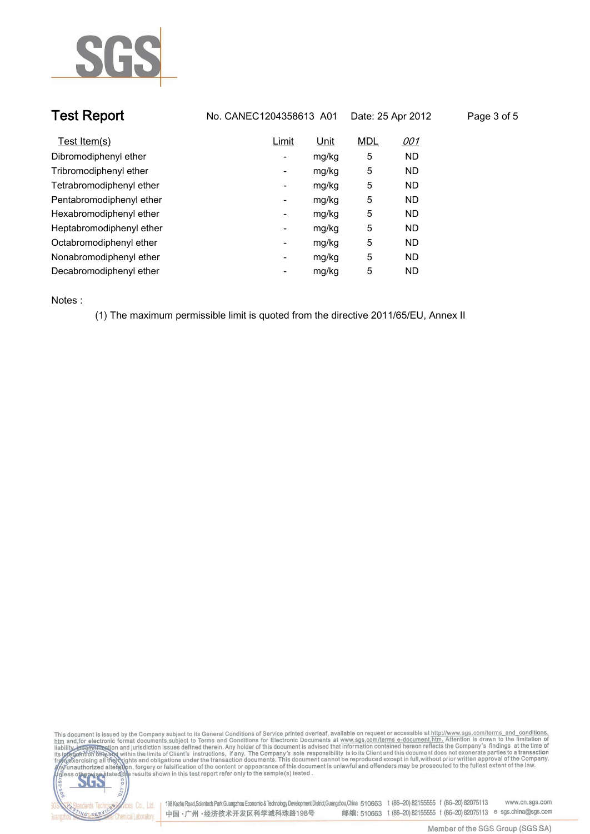

| <b>Test Report</b>       | No. CANEC1204358613 A01  |       | Date: 25 Apr 2012 |            | Page 3 of 5 |  |
|--------------------------|--------------------------|-------|-------------------|------------|-------------|--|
| Test Item(s)             | Limit                    | Unit  | <b>MDL</b>        | <u>001</u> |             |  |
| Dibromodiphenyl ether    | Ξ.                       | mg/kg | 5                 | <b>ND</b>  |             |  |
| Tribromodiphenyl ether   | -                        | mg/kg | 5                 | <b>ND</b>  |             |  |
| Tetrabromodiphenyl ether | ۰                        | mg/kg | 5                 | <b>ND</b>  |             |  |
| Pentabromodiphenyl ether | Ξ.                       | mg/kg | 5                 | <b>ND</b>  |             |  |
| Hexabromodiphenyl ether  | -                        | mg/kg | 5                 | <b>ND</b>  |             |  |
| Heptabromodiphenyl ether | $\overline{\phantom{a}}$ | mg/kg | 5                 | <b>ND</b>  |             |  |
| Octabromodiphenyl ether  | ۰                        | mg/kg | 5                 | ND         |             |  |
| Nonabromodiphenyl ether  | $\overline{\phantom{a}}$ | mg/kg | 5                 | <b>ND</b>  |             |  |
| Decabromodiphenyl ether  | -                        | mg/kg | 5                 | <b>ND</b>  |             |  |
|                          |                          |       |                   |            |             |  |

**Notes :.**

**(1) The maximum permissible limit is quoted from the directive 2011/65/EU, Annex II.**





onces Co., Ltd. | 198 Kezhu Road,Scientech Park Guangzhou Economic & Technology Development District,Guangzhou,China 510663 t (86–20) 82155555 f (86–20) 82075113 www.cn.sgs.com 邮编: 510663 t (86-20) 82155555 f (86-20) 82075113 e sgs.china@sgs.com 中国·广州·经济技术开发区科学城科珠路198号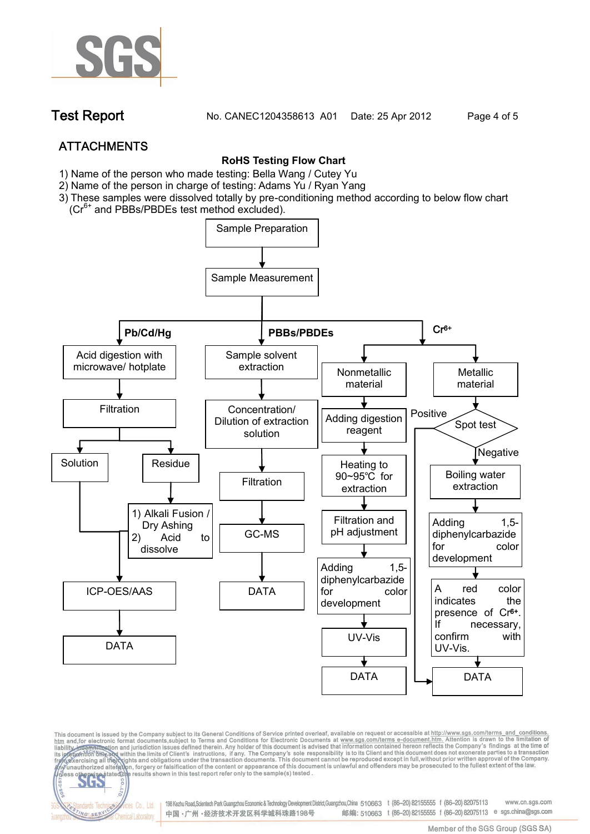

**Test Report. No. CANEC1204358613 A01 Date: 25 Apr 2012. Page 4 of 5.**

# **ATTACHMENTS**

### **RoHS Testing Flow Chart**

- **1)** Name of the person who made testing: Bella Wang / **Cutey Yu**
- 2) Name of the person in charge of testing: Adams Yu / **Ryan Yang**
- 3) These samples were dissolved totally by pre-conditioning method according to below flow chart
	- (Cr<sup>6+</sup> and PBBs/PBDEs test method excluded).

fices Co., Ltd.

NG SER



This document is issued by the Company subject to its General Conditions of Service printed overleaf, available on request or accessible at http://www.sgs.com/terms\_and\_conditions.<br>htm\_and,for electronic format documents,s

198 Kezhu Road,Scientech Park Guangzhou Economic & Technology Development District,Guangzhou,China 510663 t (86-20) 82155555 f (86-20) 82075113 www.cn.sas.com 邮编: 510663 t (86-20) 82155555 f (86-20) 82075113 e sgs.china@sgs.com 中国·广州·经济技术开发区科学城科珠路198号